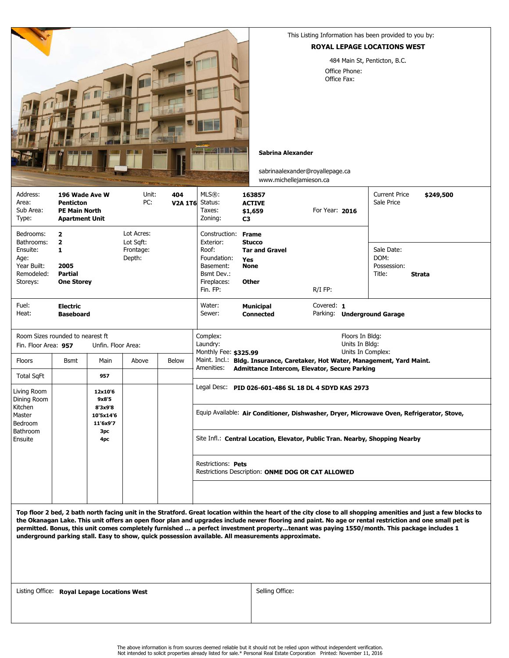

This Listing Information has been provided to you by:

## ROYAL LEPAGE LOCATIONS WEST

484 Main St, Penticton, B.C. Office Phone: Office Fax:

## Sabrina Alexander

sabrinaalexander@royallepage.ca www.michellejamieson.ca

| Address:<br>Area:<br>Sub Area:<br>Type:                                              | 196 Wade Ave W<br><b>Penticton</b><br><b>PE Main North</b><br><b>Apartment Unit</b> |                                                                    | Unit:<br>PC:                                   | 404<br>V2A 1T6 Status: | MLS®:<br>Taxes:<br>Zoning:                                                                                                                         | 163857<br><b>ACTIVE</b><br>\$1,659<br>C <sub>3</sub>                                                | For Year: 2016 |  | <b>Current Price</b><br>Sale Price          | \$249,500     |  |
|--------------------------------------------------------------------------------------|-------------------------------------------------------------------------------------|--------------------------------------------------------------------|------------------------------------------------|------------------------|----------------------------------------------------------------------------------------------------------------------------------------------------|-----------------------------------------------------------------------------------------------------|----------------|--|---------------------------------------------|---------------|--|
| Bedrooms:<br>Bathrooms:<br>Ensuite:<br>Age:<br>Year Built:<br>Remodeled:<br>Storeys: | $\overline{2}$<br>$\overline{2}$<br>1<br>2005<br>Partial<br><b>One Storey</b>       |                                                                    | Lot Acres:<br>Lot Saft:<br>Frontage:<br>Depth: |                        | Construction:<br>Exterior:<br>Roof:<br>Foundation:<br>Basement:<br>Bsmt Dev.:<br>Fireplaces:<br>Fin. FP:                                           | <b>Frame</b><br><b>Stucco</b><br><b>Tar and Gravel</b><br><b>Yes</b><br><b>None</b><br><b>Other</b> | $R/I$ FP:      |  | Sale Date:<br>DOM:<br>Possession:<br>Title: | <b>Strata</b> |  |
| Fuel:<br>Heat:                                                                       | <b>Electric</b><br><b>Baseboard</b>                                                 |                                                                    |                                                |                        | Water:<br>Sewer:                                                                                                                                   | <b>Municipal</b><br><b>Connected</b>                                                                | Covered: 1     |  | Parking: Underground Garage                 |               |  |
| Room Sizes rounded to nearest ft<br>Fin. Floor Area: 957<br>Unfin. Floor Area:       |                                                                                     |                                                                    |                                                |                        | Complex:<br>Floors In Bldg:<br>Laundry:<br>Units In Bldg:<br>Monthly Fee: \$325.99<br>Units In Complex:                                            |                                                                                                     |                |  |                                             |               |  |
| Floors<br><b>Total SqFt</b>                                                          | Bsmt                                                                                | Main<br>957                                                        | Above                                          | Below                  | Maint. Incl.: Bldg. Insurance, Caretaker, Hot Water, Management, Yard Maint.<br>Amenities:<br><b>Admittance Intercom, Elevator, Secure Parking</b> |                                                                                                     |                |  |                                             |               |  |
| Living Room<br>Dining Room<br>Kitchen<br>Master<br>Bedroom<br>Bathroom<br>Ensuite    |                                                                                     | 12x10'6<br>9x8'5<br>8'3x9'8<br>10'5x14'6<br>11'6x9'7<br>3pc<br>4pc |                                                |                        | Legal Desc: PID 026-601-486 SL 18 DL 4 SDYD KAS 2973<br>Equip Available: Air Conditioner, Dishwasher, Dryer, Microwave Oven, Refrigerator, Stove,  |                                                                                                     |                |  |                                             |               |  |
|                                                                                      |                                                                                     |                                                                    |                                                |                        | Site Infl.: Central Location, Elevator, Public Tran. Nearby, Shopping Nearby                                                                       |                                                                                                     |                |  |                                             |               |  |
|                                                                                      |                                                                                     |                                                                    |                                                |                        | Restrictions: Pets<br>Restrictions Description: ONME DOG OR CAT ALLOWED                                                                            |                                                                                                     |                |  |                                             |               |  |
|                                                                                      |                                                                                     |                                                                    |                                                |                        |                                                                                                                                                    |                                                                                                     |                |  |                                             |               |  |

Top floor 2 bed, 2 bath north facing unit in the Stratford. Great location within the heart of the city close to all shopping amenities and just a few blocks to the Okanagan Lake. This unit offers an open floor plan and upgrades include newer flooring and paint. No age or rental restriction and one small pet is permitted. Bonus, this unit comes completely furnished ... a perfect investment property...tenant was paying 1550/month. This package includes 1 underground parking stall. Easy to show, quick possession available. All measurements approximate.

Listing Office: **Royal Lepage Locations West Example 20 and Selling Office:**